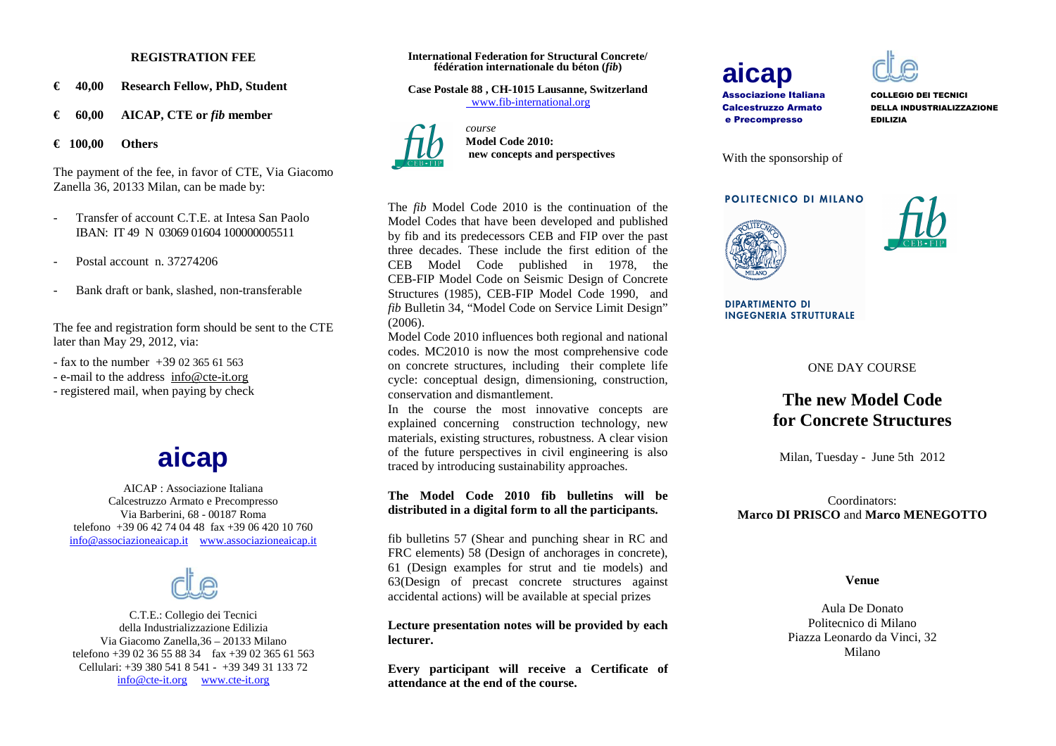#### **REGISTRATION FEE**

- **€ 40,00 Research Fellow, PhD, Student**
- **€ 60,00 AICAP, CTE or** *fib* **member**

**€ 100,00 Others** 

The payment of the fee, in favor of CTE, Via Giacomo Zanella 36, 20133 Milan, can be made by:

- - Transfer of account C.T.E. at Intesa San Paolo IBAN: IT 49 N 03069 01604 100000005511
- Postal account n. 37274206
- Bank draft or bank, slashed, non-transferable

The fee and registration form should be sent to the CTE later than May 29, 2012, via:

 $-$  fax to the number  $+390236561563$ 

- e-mail to the address info@cte-it.org
- registered mail, when paying by check

## **aicap**

 AICAP : Associazione Italiana Calcestruzzo Armato e Precompresso Via Barberini, 68 - 00187 Roma telefono +39 06 42 74 04 48 fax +39 06 420 10 760info@associazioneaicap.it www.associazioneaicap.it



C.T.E.: Collegio dei Tecnici della Industrializzazione Edilizia Via Giacomo Zanella,36 – 20133 Milano telefono +39 02 36 55 88 34 fax +39 02 365 61 563 Cellulari: +39 380 541 8 541 - +39 349 31 133 72 info@cte-it.org www.cte-it.org

#### **International Federation for Structural Concrete/ fédération internationale du béton (***fib***)**

**Case Postale 88 , CH-1015 Lausanne, Switzerland** www.fib-international.org



*course*  **Model Code 2010: new concepts and perspectives**

The *fib* Model Code 2010 is the continuation of the Model Codes that have been developed and published by fib and its predecessors CEB and FIP over the past three decades. These include the first edition of the CEB Model Code published in 1978, the CEB-FIP Model Code on Seismic Design of Concrete Structures (1985), CEB-FIP Model Code 1990, and *fib* Bulletin 34, "Model Code on Service Limit Design" (2006).

 Model Code 2010 influences both regional and national codes. MC2010 is now the most comprehensive code on concrete structures, including their complete life cycle: conceptual design, dimensioning, construction, conservation and dismantlement.

In the course the most innovative concepts are explained concerning construction technology, new materials, existing structures, robustness. A clear vision of the future perspectives in civil engineering is also traced by introducing sustainability approaches.

#### **The Model Code 2010 fib bulletins will be distributed in a digital form to all the participants.**

fib bulletins 57 (Shear and punching shear in RC and FRC elements) 58 (Design of anchorages in concrete), 61 (Design examples for strut and tie models) and 63(Design of precast concrete structures against accidental actions) will be available at special prizes

**Lecture presentation notes will be provided by eachlecturer.** 

**Every participant will receive a Certificate of attendance at the end of the course.** 

# **aicap**

Associazione ItalianaCalcestruzzo Armatoe Precompresso

 COLLEGIO DEI TECNICI DELLA INDUSTRIALIZZAZIONE EDILIZIA



#### POLITECNICO DI MILANO



**DIPARTIMENTO DI INGEGNERIA STRUTTURALE** 

ONE DAY COURSE

### **The new Model Code for Concrete Structures**

Milan, Tuesday - June 5th 2012

Coordinators: **Marco DI PRISCO** and **Marco MENEGOTTO** 

#### **Venue**

Aula De Donato Politecnico di Milano Piazza Leonardo da Vinci, 32 Milano